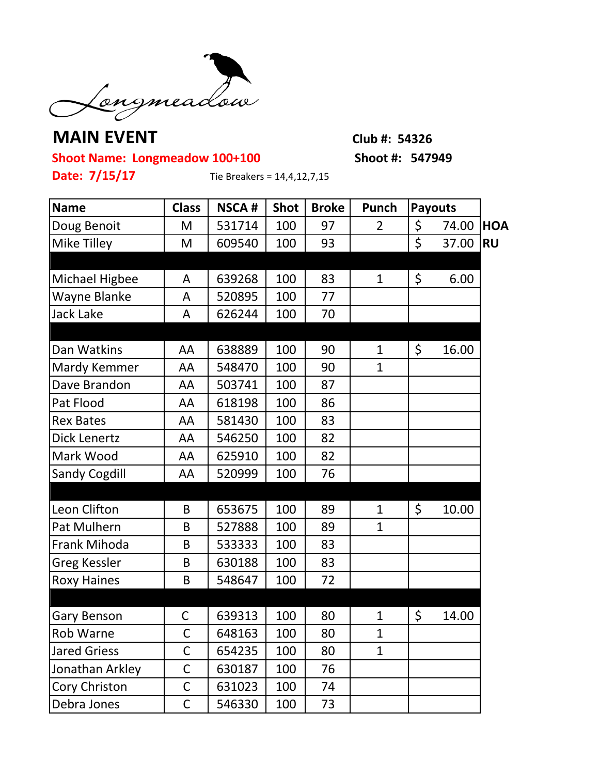

## **MAIN EVENT Club #: 54326**

**Shoot Name: Longmeadow 100+100 Shoot #: 547949**

**Date: 7/15/17** Tie Breakers = 14,4,12,7,15

| <b>Name</b>           | <b>Class</b> | <b>NSCA#</b> | <b>Shot</b> | <b>Broke</b> | Punch        | <b>Payouts</b> |       |            |
|-----------------------|--------------|--------------|-------------|--------------|--------------|----------------|-------|------------|
| Doug Benoit           | M            | 531714       | 100         | 97           | 2            | \$             | 74.00 | <b>HOA</b> |
| Mike Tilley           | M            | 609540       | 100         | 93           |              | \$             | 37.00 | <b>RU</b>  |
|                       |              |              |             |              |              |                |       |            |
| <b>Michael Higbee</b> | A            | 639268       | 100         | 83           | 1            | \$             | 6.00  |            |
| Wayne Blanke          | A            | 520895       | 100         | 77           |              |                |       |            |
| <b>Jack Lake</b>      | A            | 626244       | 100         | 70           |              |                |       |            |
|                       |              |              |             |              |              |                |       |            |
| Dan Watkins           | AA           | 638889       | 100         | 90           | $\mathbf{1}$ | \$             | 16.00 |            |
| Mardy Kemmer          | AA           | 548470       | 100         | 90           | $\mathbf{1}$ |                |       |            |
| Dave Brandon          | AA           | 503741       | 100         | 87           |              |                |       |            |
| Pat Flood             | AA           | 618198       | 100         | 86           |              |                |       |            |
| <b>Rex Bates</b>      | AA           | 581430       | 100         | 83           |              |                |       |            |
| Dick Lenertz          | AA           | 546250       | 100         | 82           |              |                |       |            |
| Mark Wood             | AA           | 625910       | 100         | 82           |              |                |       |            |
| <b>Sandy Cogdill</b>  | AA           | 520999       | 100         | 76           |              |                |       |            |
|                       |              |              |             |              |              |                |       |            |
| Leon Clifton          | B            | 653675       | 100         | 89           | $\mathbf{1}$ | \$             | 10.00 |            |
| Pat Mulhern           | B            | 527888       | 100         | 89           | $\mathbf{1}$ |                |       |            |
| Frank Mihoda          | B            | 533333       | 100         | 83           |              |                |       |            |
| <b>Greg Kessler</b>   | B            | 630188       | 100         | 83           |              |                |       |            |
| <b>Roxy Haines</b>    | B            | 548647       | 100         | 72           |              |                |       |            |
|                       |              |              |             |              |              |                |       |            |
| Gary Benson           | C            | 639313       | 100         | 80           | 1            | \$             | 14.00 |            |
| <b>Rob Warne</b>      | $\mathsf{C}$ | 648163       | 100         | 80           | $\mathbf{1}$ |                |       |            |
| <b>Jared Griess</b>   | $\mathsf C$  | 654235       | 100         | 80           | $\mathbf{1}$ |                |       |            |
| Jonathan Arkley       | $\mathsf C$  | 630187       | 100         | 76           |              |                |       |            |
| Cory Christon         | $\mathsf C$  | 631023       | 100         | 74           |              |                |       |            |
| Debra Jones           | $\mathsf C$  | 546330       | 100         | 73           |              |                |       |            |